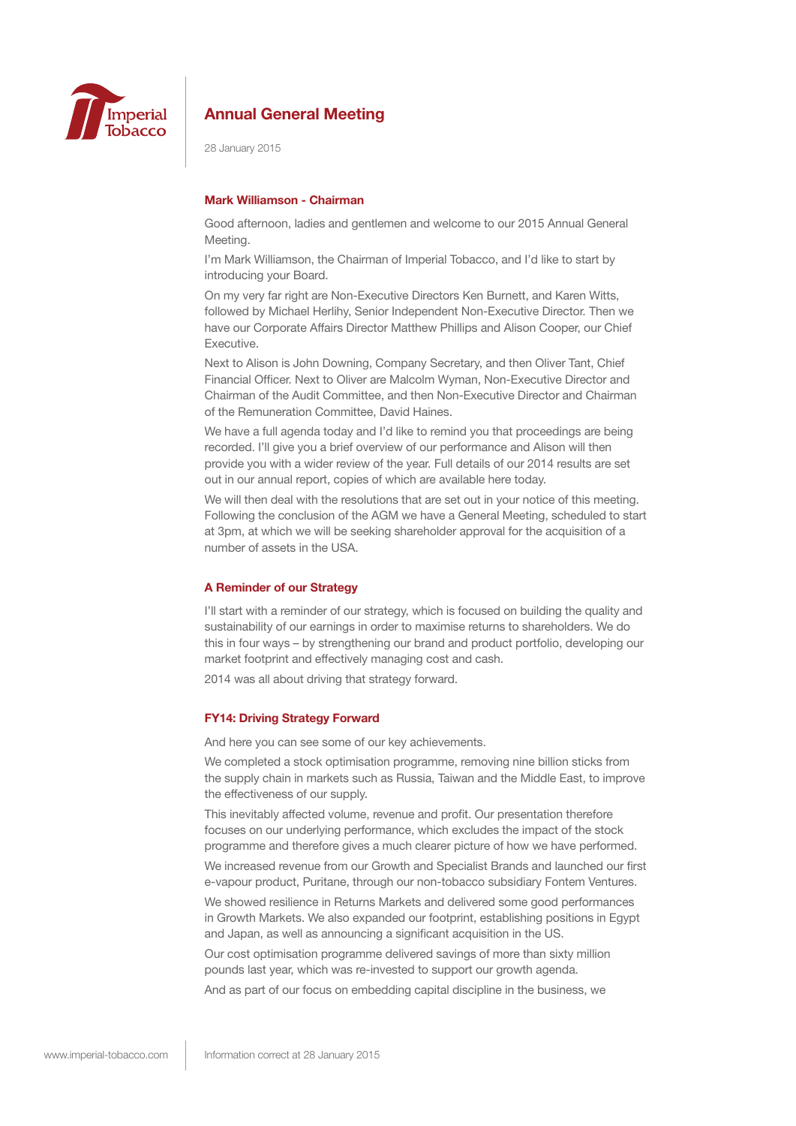

28 January 2015

## **Mark Williamson - Chairman**

Good afternoon, ladies and gentlemen and welcome to our 2015 Annual General **Meeting** 

I'm Mark Williamson, the Chairman of Imperial Tobacco, and I'd like to start by introducing your Board.

On my very far right are Non-Executive Directors Ken Burnett, and Karen Witts, followed by Michael Herlihy, Senior Independent Non-Executive Director. Then we have our Corporate Affairs Director Matthew Phillips and Alison Cooper, our Chief Executive.

Next to Alison is John Downing, Company Secretary, and then Oliver Tant, Chief Financial Officer. Next to Oliver are Malcolm Wyman, Non-Executive Director and Chairman of the Audit Committee, and then Non-Executive Director and Chairman of the Remuneration Committee, David Haines.

We have a full agenda today and I'd like to remind you that proceedings are being recorded. I'll give you a brief overview of our performance and Alison will then provide you with a wider review of the year. Full details of our 2014 results are set out in our annual report, copies of which are available here today.

We will then deal with the resolutions that are set out in your notice of this meeting. Following the conclusion of the AGM we have a General Meeting, scheduled to start at 3pm, at which we will be seeking shareholder approval for the acquisition of a number of assets in the USA.

### **A Reminder of our Strategy**

I'll start with a reminder of our strategy, which is focused on building the quality and sustainability of our earnings in order to maximise returns to shareholders. We do this in four ways – by strengthening our brand and product portfolio, developing our market footprint and effectively managing cost and cash.

2014 was all about driving that strategy forward.

## **FY14: Driving Strategy Forward**

And here you can see some of our key achievements.

We completed a stock optimisation programme, removing nine billion sticks from the supply chain in markets such as Russia, Taiwan and the Middle East, to improve the effectiveness of our supply.

This inevitably affected volume, revenue and profit. Our presentation therefore focuses on our underlying performance, which excludes the impact of the stock programme and therefore gives a much clearer picture of how we have performed.

We increased revenue from our Growth and Specialist Brands and launched our first e-vapour product, Puritane, through our non-tobacco subsidiary Fontem Ventures.

We showed resilience in Returns Markets and delivered some good performances in Growth Markets. We also expanded our footprint, establishing positions in Egypt and Japan, as well as announcing a significant acquisition in the US.

Our cost optimisation programme delivered savings of more than sixty million pounds last year, which was re-invested to support our growth agenda.

And as part of our focus on embedding capital discipline in the business, we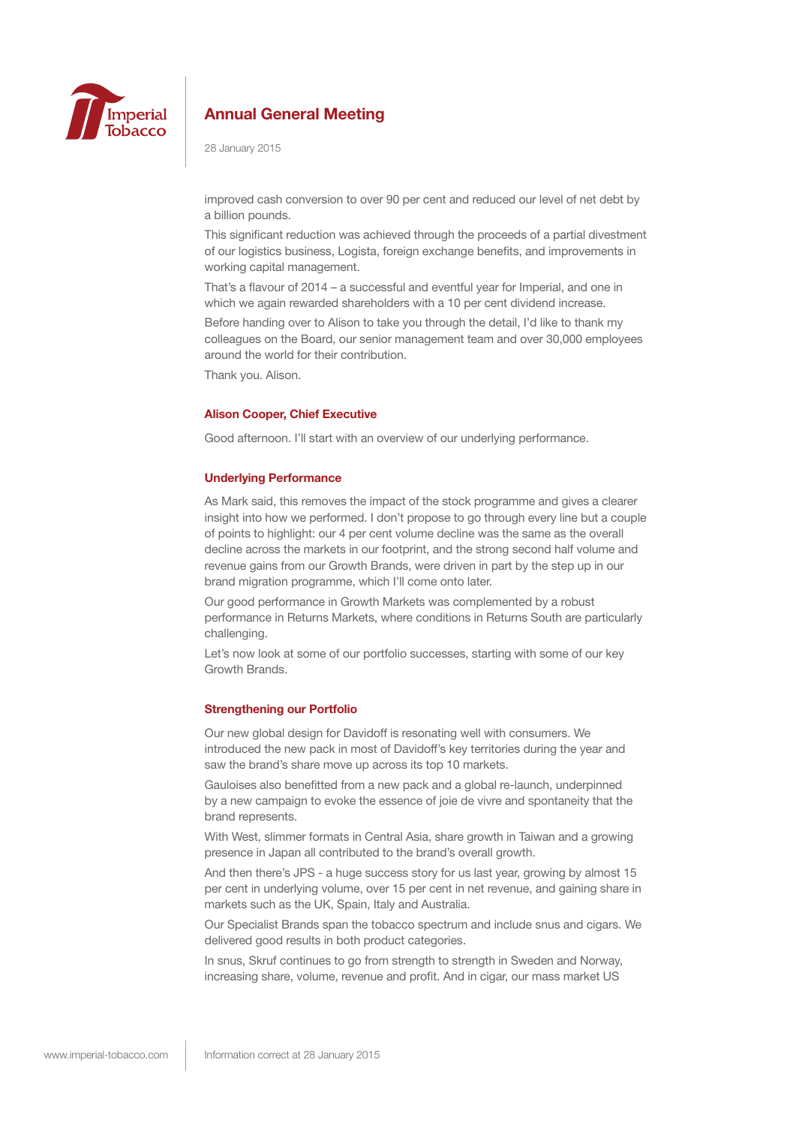

28 January 2015

improved cash conversion to over 90 per cent and reduced our level of net debt by a billion pounds.

This significant reduction was achieved through the proceeds of a partial divestment of our logistics business, Logista, foreign exchange benefits, and improvements in working capital management.

That's a flavour of 2014 – a successful and eventful year for Imperial, and one in which we again rewarded shareholders with a 10 per cent dividend increase.

Before handing over to Alison to take you through the detail, I'd like to thank my colleagues on the Board, our senior management team and over 30,000 employees around the world for their contribution.

Thank you. Alison.

### **Alison Cooper, Chief Executive**

Good afternoon. I'll start with an overview of our underlying performance.

### **Underlying Performance**

As Mark said, this removes the impact of the stock programme and gives a clearer insight into how we performed. I don't propose to go through every line but a couple of points to highlight: our 4 per cent volume decline was the same as the overall decline across the markets in our footprint, and the strong second half volume and revenue gains from our Growth Brands, were driven in part by the step up in our brand migration programme, which I'll come onto later.

Our good performance in Growth Markets was complemented by a robust performance in Returns Markets, where conditions in Returns South are particularly challenging.

Let's now look at some of our portfolio successes, starting with some of our key Growth Brands.

### **Strengthening our Portfolio**

Our new global design for Davidoff is resonating well with consumers. We introduced the new pack in most of Davidoff's key territories during the year and saw the brand's share move up across its top 10 markets.

Gauloises also benefitted from a new pack and a global re-launch, underpinned by a new campaign to evoke the essence of joie de vivre and spontaneity that the brand represents.

With West, slimmer formats in Central Asia, share growth in Taiwan and a growing presence in Japan all contributed to the brand's overall growth.

And then there's JPS - a huge success story for us last year, growing by almost 15 per cent in underlying volume, over 15 per cent in net revenue, and gaining share in markets such as the UK, Spain, Italy and Australia.

Our Specialist Brands span the tobacco spectrum and include snus and cigars. We delivered good results in both product categories.

In snus, Skruf continues to go from strength to strength in Sweden and Norway, increasing share, volume, revenue and profit. And in cigar, our mass market US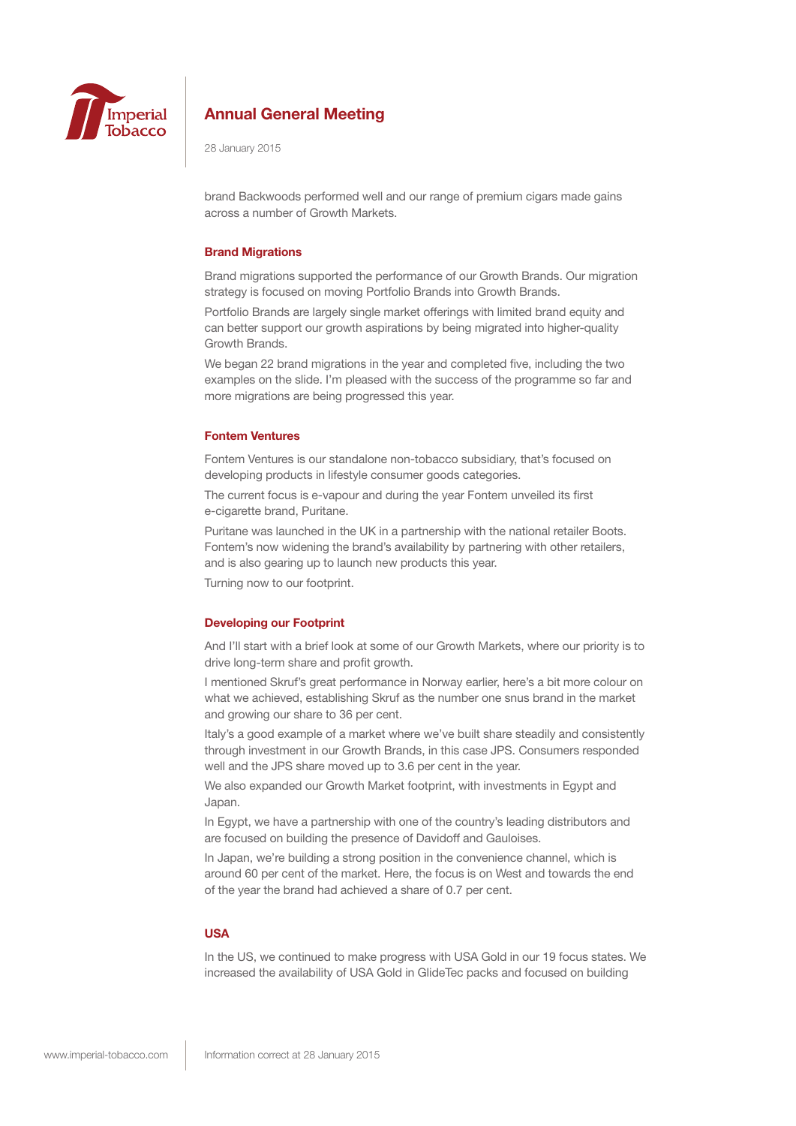

28 January 2015

brand Backwoods performed well and our range of premium cigars made gains across a number of Growth Markets.

### **Brand Migrations**

Brand migrations supported the performance of our Growth Brands. Our migration strategy is focused on moving Portfolio Brands into Growth Brands.

Portfolio Brands are largely single market offerings with limited brand equity and can better support our growth aspirations by being migrated into higher-quality Growth Brands.

We began 22 brand migrations in the year and completed five, including the two examples on the slide. I'm pleased with the success of the programme so far and more migrations are being progressed this year.

## **Fontem Ventures**

Fontem Ventures is our standalone non-tobacco subsidiary, that's focused on developing products in lifestyle consumer goods categories.

The current focus is e-vapour and during the year Fontem unveiled its first e-cigarette brand, Puritane.

Puritane was launched in the UK in a partnership with the national retailer Boots. Fontem's now widening the brand's availability by partnering with other retailers, and is also gearing up to launch new products this year.

Turning now to our footprint.

## **Developing our Footprint**

And I'll start with a brief look at some of our Growth Markets, where our priority is to drive long-term share and profit growth.

I mentioned Skruf's great performance in Norway earlier, here's a bit more colour on what we achieved, establishing Skruf as the number one snus brand in the market and growing our share to 36 per cent.

Italy's a good example of a market where we've built share steadily and consistently through investment in our Growth Brands, in this case JPS. Consumers responded well and the JPS share moved up to 3.6 per cent in the year.

We also expanded our Growth Market footprint, with investments in Egypt and Japan.

In Egypt, we have a partnership with one of the country's leading distributors and are focused on building the presence of Davidoff and Gauloises.

In Japan, we're building a strong position in the convenience channel, which is around 60 per cent of the market. Here, the focus is on West and towards the end of the year the brand had achieved a share of 0.7 per cent.

## **USA**

In the US, we continued to make progress with USA Gold in our 19 focus states. We increased the availability of USA Gold in GlideTec packs and focused on building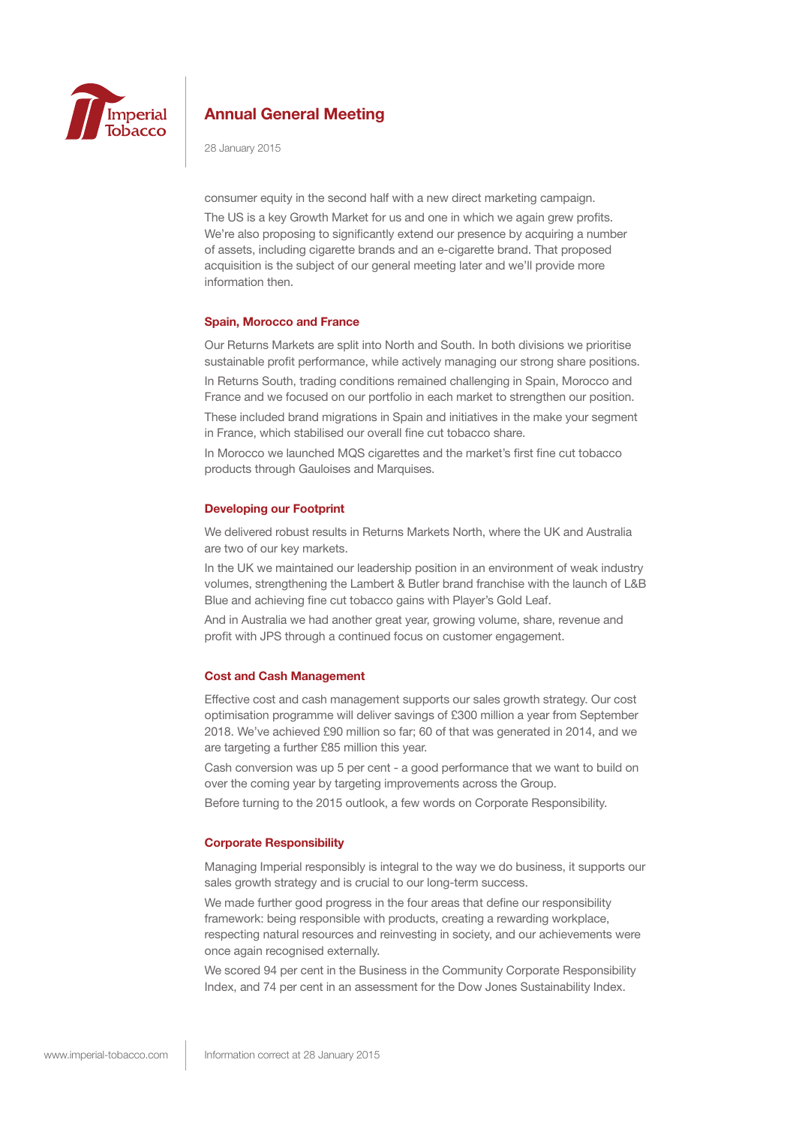

28 January 2015

consumer equity in the second half with a new direct marketing campaign.

The US is a key Growth Market for us and one in which we again grew profits. We're also proposing to significantly extend our presence by acquiring a number of assets, including cigarette brands and an e-cigarette brand. That proposed acquisition is the subject of our general meeting later and we'll provide more information then.

### **Spain, Morocco and France**

Our Returns Markets are split into North and South. In both divisions we prioritise sustainable profit performance, while actively managing our strong share positions. In Returns South, trading conditions remained challenging in Spain, Morocco and France and we focused on our portfolio in each market to strengthen our position.

These included brand migrations in Spain and initiatives in the make your segment in France, which stabilised our overall fine cut tobacco share.

In Morocco we launched MQS cigarettes and the market's first fine cut tobacco products through Gauloises and Marquises.

### **Developing our Footprint**

We delivered robust results in Returns Markets North, where the UK and Australia are two of our key markets.

In the UK we maintained our leadership position in an environment of weak industry volumes, strengthening the Lambert & Butler brand franchise with the launch of L&B Blue and achieving fine cut tobacco gains with Player's Gold Leaf.

And in Australia we had another great year, growing volume, share, revenue and profit with JPS through a continued focus on customer engagement.

### **Cost and Cash Management**

Effective cost and cash management supports our sales growth strategy. Our cost optimisation programme will deliver savings of £300 million a year from September 2018. We've achieved £90 million so far; 60 of that was generated in 2014, and we are targeting a further £85 million this year.

Cash conversion was up 5 per cent - a good performance that we want to build on over the coming year by targeting improvements across the Group.

Before turning to the 2015 outlook, a few words on Corporate Responsibility.

### **Corporate Responsibility**

Managing Imperial responsibly is integral to the way we do business, it supports our sales growth strategy and is crucial to our long-term success.

We made further good progress in the four areas that define our responsibility framework: being responsible with products, creating a rewarding workplace, respecting natural resources and reinvesting in society, and our achievements were once again recognised externally.

We scored 94 per cent in the Business in the Community Corporate Responsibility Index, and 74 per cent in an assessment for the Dow Jones Sustainability Index.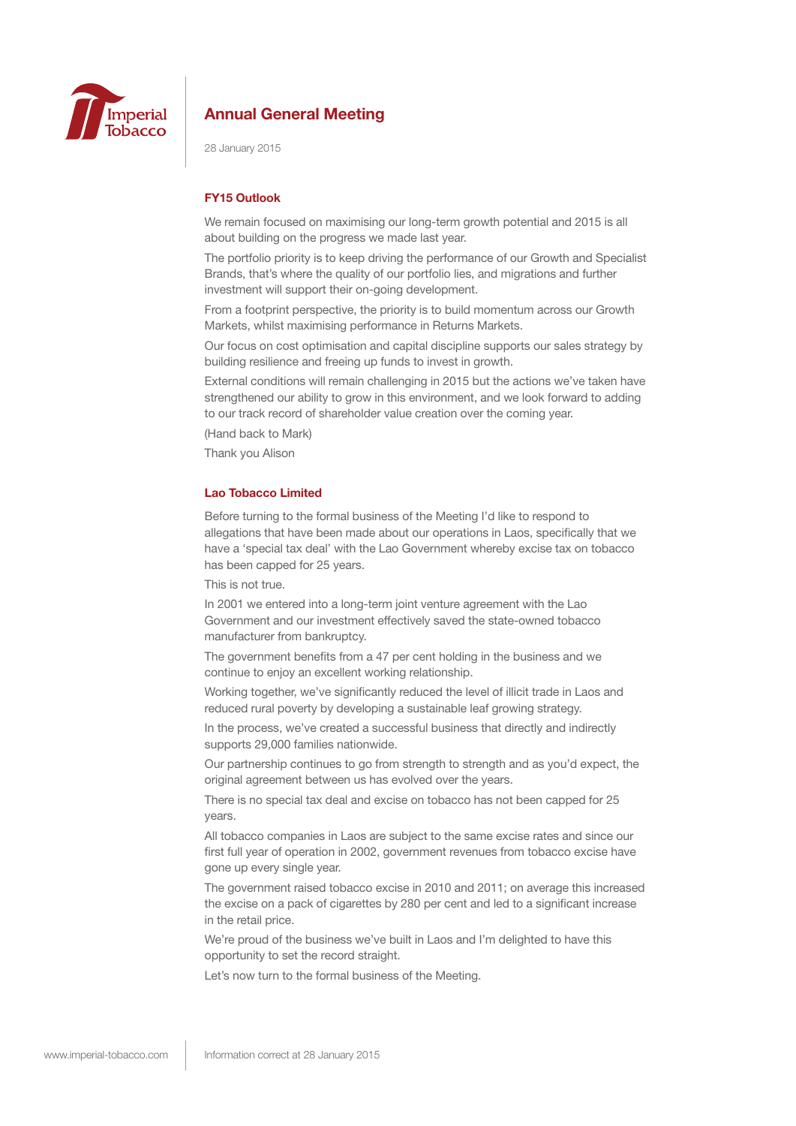

28 January 2015

### **FY15 Outlook**

We remain focused on maximising our long-term growth potential and 2015 is all about building on the progress we made last year.

The portfolio priority is to keep driving the performance of our Growth and Specialist Brands, that's where the quality of our portfolio lies, and migrations and further investment will support their on-going development.

From a footprint perspective, the priority is to build momentum across our Growth Markets, whilst maximising performance in Returns Markets.

Our focus on cost optimisation and capital discipline supports our sales strategy by building resilience and freeing up funds to invest in growth.

External conditions will remain challenging in 2015 but the actions we've taken have strengthened our ability to grow in this environment, and we look forward to adding to our track record of shareholder value creation over the coming year.

(Hand back to Mark)

Thank you Alison

## **Lao Tobacco Limited**

Before turning to the formal business of the Meeting I'd like to respond to allegations that have been made about our operations in Laos, specifically that we have a 'special tax deal' with the Lao Government whereby excise tax on tobacco has been capped for 25 years.

This is not true.

In 2001 we entered into a long-term joint venture agreement with the Lao Government and our investment effectively saved the state-owned tobacco manufacturer from bankruptcy.

The government benefits from a 47 per cent holding in the business and we continue to enjoy an excellent working relationship.

Working together, we've significantly reduced the level of illicit trade in Laos and reduced rural poverty by developing a sustainable leaf growing strategy.

In the process, we've created a successful business that directly and indirectly supports 29,000 families nationwide.

Our partnership continues to go from strength to strength and as you'd expect, the original agreement between us has evolved over the years.

There is no special tax deal and excise on tobacco has not been capped for 25 years.

All tobacco companies in Laos are subject to the same excise rates and since our first full year of operation in 2002, government revenues from tobacco excise have gone up every single year.

The government raised tobacco excise in 2010 and 2011; on average this increased the excise on a pack of cigarettes by 280 per cent and led to a significant increase in the retail price.

We're proud of the business we've built in Laos and I'm delighted to have this opportunity to set the record straight.

Let's now turn to the formal business of the Meeting.